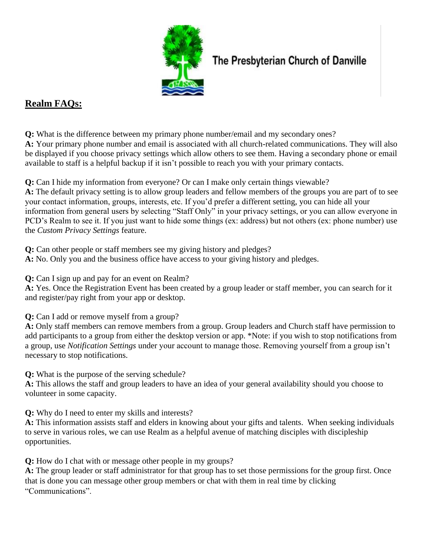

## The Presbyterian Church of Danville

## **Realm FAQs:**

**Q:** What is the difference between my primary phone number/email and my secondary ones? **A:** Your primary phone number and email is associated with all church-related communications. They will also be displayed if you choose privacy settings which allow others to see them. Having a secondary phone or email available to staff is a helpful backup if it isn't possible to reach you with your primary contacts.

**Q:** Can I hide my information from everyone? Or can I make only certain things viewable?

**A:** The default privacy setting is to allow group leaders and fellow members of the groups you are part of to see your contact information, groups, interests, etc. If you'd prefer a different setting, you can hide all your information from general users by selecting "Staff Only" in your privacy settings, or you can allow everyone in PCD's Realm to see it. If you just want to hide some things (ex: address) but not others (ex: phone number) use the *Custom Privacy Settings* feature.

**Q:** Can other people or staff members see my giving history and pledges? **A:** No. Only you and the business office have access to your giving history and pledges.

**Q:** Can I sign up and pay for an event on Realm?

**A:** Yes. Once the Registration Event has been created by a group leader or staff member, you can search for it and register/pay right from your app or desktop.

**Q:** Can I add or remove myself from a group?

**A:** Only staff members can remove members from a group. Group leaders and Church staff have permission to add participants to a group from either the desktop version or app. \*Note: if you wish to stop notifications from a group, use *Notification Settings* under your account to manage those. Removing yourself from a group isn't necessary to stop notifications.

**Q:** What is the purpose of the serving schedule?

**A:** This allows the staff and group leaders to have an idea of your general availability should you choose to volunteer in some capacity.

**Q:** Why do I need to enter my skills and interests?

**A:** This information assists staff and elders in knowing about your gifts and talents. When seeking individuals to serve in various roles, we can use Realm as a helpful avenue of matching disciples with discipleship opportunities.

**Q:** How do I chat with or message other people in my groups?

**A:** The group leader or staff administrator for that group has to set those permissions for the group first. Once that is done you can message other group members or chat with them in real time by clicking "Communications".